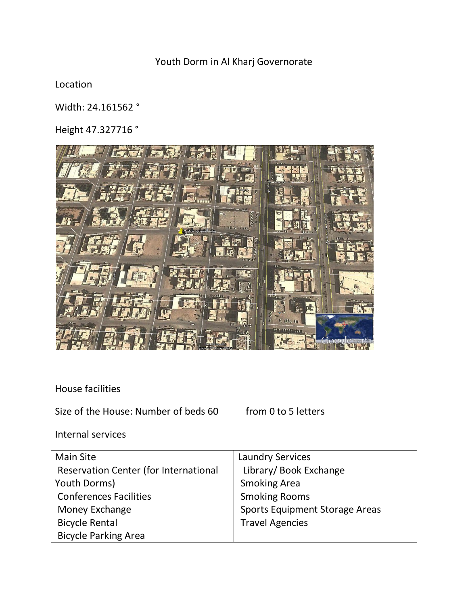Youth Dorm in Al Kharj Governorate

Location

Width: 24.161562 °

Height 47.327716 °



House facilities

Size of the House: Number of beds 60 from 0 to 5 letters

Internal services

| <b>Main Site</b>                             | <b>Laundry Services</b>               |
|----------------------------------------------|---------------------------------------|
| <b>Reservation Center (for International</b> | Library/ Book Exchange                |
| Youth Dorms)                                 | <b>Smoking Area</b>                   |
| <b>Conferences Facilities</b>                | <b>Smoking Rooms</b>                  |
| Money Exchange                               | <b>Sports Equipment Storage Areas</b> |
| <b>Bicycle Rental</b>                        | <b>Travel Agencies</b>                |
| <b>Bicycle Parking Area</b>                  |                                       |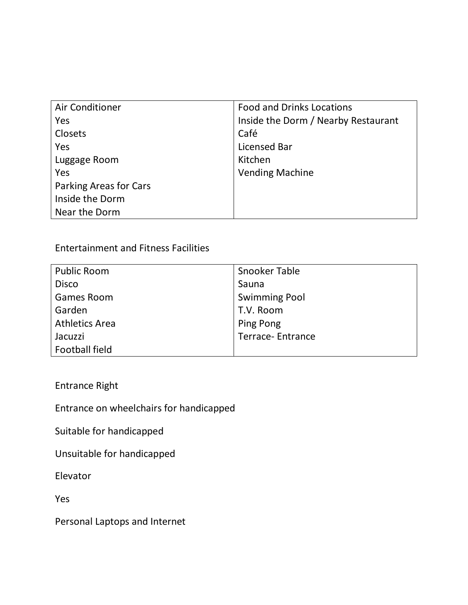| Air Conditioner        | <b>Food and Drinks Locations</b>    |
|------------------------|-------------------------------------|
| Yes                    | Inside the Dorm / Nearby Restaurant |
| Closets                | Café                                |
| Yes                    | Licensed Bar                        |
| Luggage Room           | Kitchen                             |
| Yes                    | <b>Vending Machine</b>              |
| Parking Areas for Cars |                                     |
| Inside the Dorm        |                                     |
| Near the Dorm          |                                     |

Entertainment and Fitness Facilities

| <b>Public Room</b>    | Snooker Table        |
|-----------------------|----------------------|
| <b>Disco</b>          | Sauna                |
| <b>Games Room</b>     | <b>Swimming Pool</b> |
| Garden                | T.V. Room            |
| <b>Athletics Area</b> | Ping Pong            |
| Jacuzzi               | Terrace-Entrance     |
| <b>Football field</b> |                      |

Entrance Right

Entrance on wheelchairs for handicapped

Suitable for handicapped

Unsuitable for handicapped

Elevator

Yes

Personal Laptops and Internet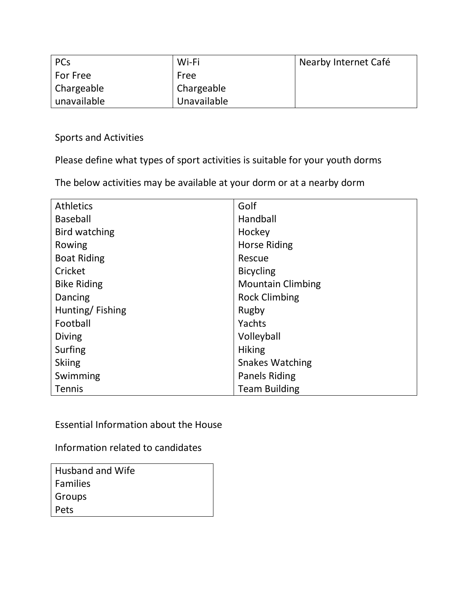| <b>PCs</b>  | Wi-Fi       | Nearby Internet Café |
|-------------|-------------|----------------------|
| For Free    | Free        |                      |
| Chargeable  | Chargeable  |                      |
| unavailable | Unavailable |                      |

Sports and Activities

Please define what types of sport activities is suitable for your youth dorms

The below activities may be available at your dorm or at a nearby dorm

| <b>Athletics</b>   | Golf                     |
|--------------------|--------------------------|
| Baseball           | Handball                 |
| Bird watching      | Hockey                   |
| Rowing             | <b>Horse Riding</b>      |
| <b>Boat Riding</b> | Rescue                   |
| Cricket            | <b>Bicycling</b>         |
| <b>Bike Riding</b> | <b>Mountain Climbing</b> |
| Dancing            | <b>Rock Climbing</b>     |
| Hunting/Fishing    | Rugby                    |
| Football           | Yachts                   |
| Diving             | Volleyball               |
| Surfing            | <b>Hiking</b>            |
| <b>Skiing</b>      | <b>Snakes Watching</b>   |
| Swimming           | <b>Panels Riding</b>     |
| Tennis             | <b>Team Building</b>     |

Essential Information about the House

Information related to candidates

| <b>Husband and Wife</b> |  |
|-------------------------|--|
| <b>Families</b>         |  |
| Groups                  |  |
| Pets                    |  |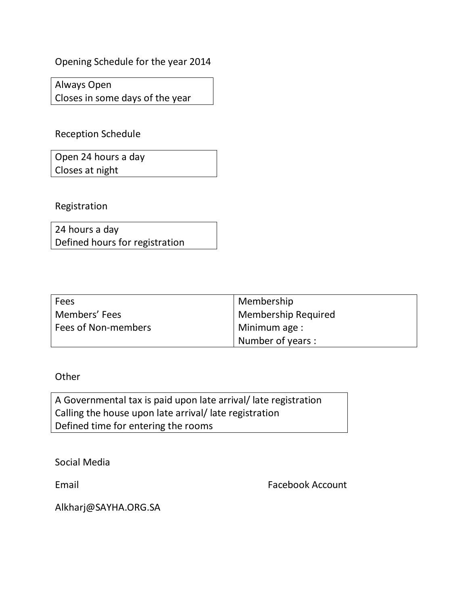Opening Schedule for the year 2014

Always Open Closes in some days of the year

Reception Schedule

Open 24 hours a day Closes at night

Registration

24 hours a day Defined hours for registration

| Fees                | Membership                 |
|---------------------|----------------------------|
| Members' Fees       | <b>Membership Required</b> |
| Fees of Non-members | Minimum age:               |
|                     | Number of years :          |

**Other** 

A Governmental tax is paid upon late arrival/ late registration Calling the house upon late arrival/ late registration Defined time for entering the rooms

Social Media

Email **Email Email Email Email Email Email Email Email Email Email Email Email Email Email Email Email Email Email Email Email Email Email Email Email Email Email Email**

Alkharj@SAYHA.ORG.SA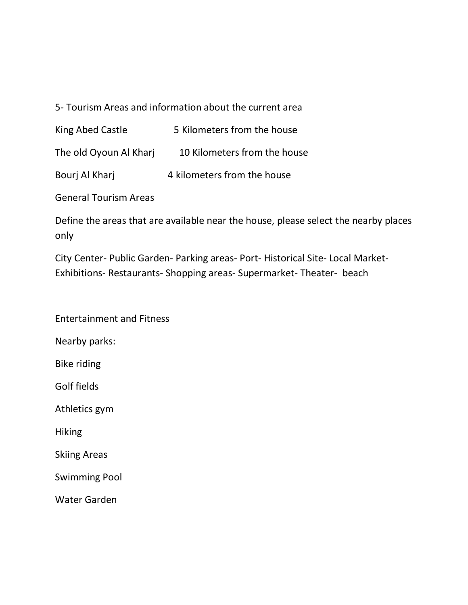## 5- Tourism Areas and information about the current area

- King Abed Castle 5 Kilometers from the house
- The old Oyoun Al Kharj 10 Kilometers from the house
- Bourj Al Kharj 4 kilometers from the house

General Tourism Areas

Define the areas that are available near the house, please select the nearby places only

City Center- Public Garden- Parking areas- Port- Historical Site- Local Market-Exhibitions- Restaurants- Shopping areas- Supermarket- Theater- beach

Entertainment and Fitness Nearby parks: Bike riding Golf fields Athletics gym Hiking Skiing Areas Swimming Pool Water Garden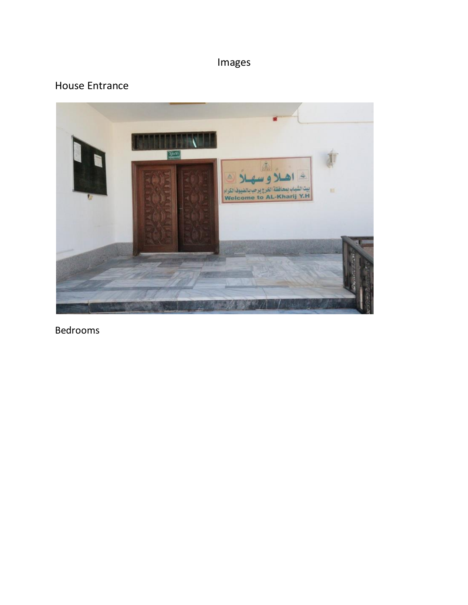## Images

## House Entrance



Bedrooms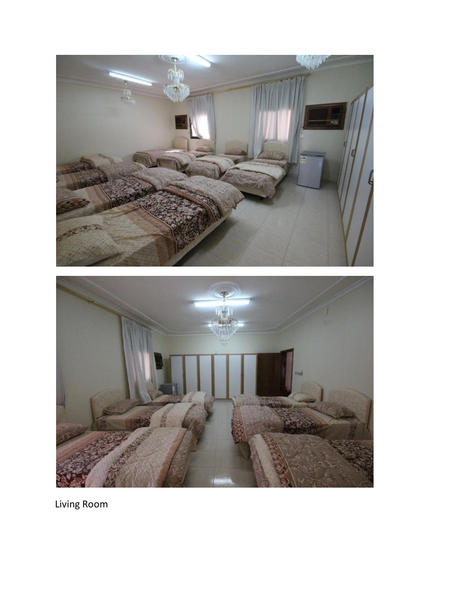

Living Room